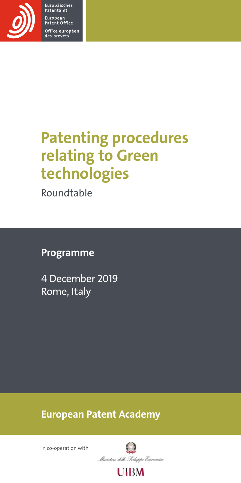

Europäisches<br>Patentamt European<br>Patent Office Office européen<br>des brevets

# Patenting procedures relating to Green technologies

Roundtable

# Programme

4 December 2019 Rome, Italy

European Patent Academy

in co-operation with

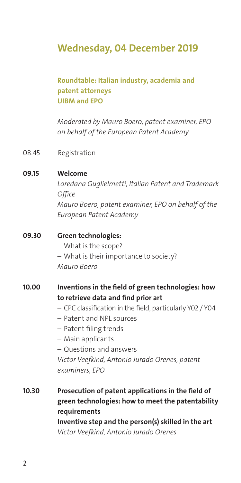# Wednesday, 04 December 2019

## Roundtable: Italian industry, academia and patent attorneys UIBM and EPO

*Moderated by Mauro Boero, patent examiner, EPO on behalf of the European Patent Academy*

08.45 Registration

#### 09.15 Welcome

*Loredana Guglielmetti, Italian Patent and Trademark Office Mauro Boero, patent examiner, EPO on behalf of the European Patent Academy*

#### 09.30 Green technologies:

- What is the scope?
- What is their importance to society?

*Mauro Boero*

## 10.00 Inventions in the field of green technologies: how to retrieve data and find prior art

- CPC classification in the field, particularly Y02 / Y04
- Patent and NPL sources
- Patent filing trends
- Main applicants
- Questions and answers

*Victor Veefkind, Antonio Jurado Orenes, patent examiners, EPO*

# 10.30 Prosecution of patent applications in the field of green technologies: how to meet the patentability requirements Inventive step and the person(s) skilled in the art *Victor Veefkind, Antonio Jurado Orenes*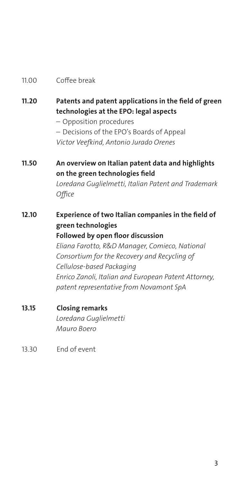#### 11.00 Coffee break

- 11.20 Patents and patent applications in the field of green technologies at the EPO: legal aspects
	- Opposition procedures
	- Decisions of the EPO's Boards of Appeal

*Victor Veefkind, Antonio Jurado Orenes* 

# 11.50 An overview on Italian patent data and highlights on the green technologies field

*Loredana Guglielmetti, Italian Patent and Trademark Office*

- 12.10 Experience of two Italian companies in the field of green technologies Followed by open floor discussion *Eliana Farotto, R&D Manager, Comieco, National Consortium for the Recovery and Recycling of Cellulose-based Packaging Enrico Zanoli, Italian and European Patent Attorney, patent representative from Novamont SpA*
- 13.15 Closing remarks *Loredana Guglielmetti Mauro Boero*
- 13.30 End of event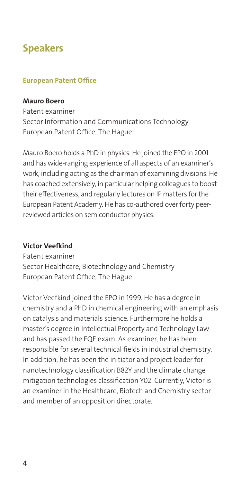# Speakers

#### European Patent Office

#### Mauro Boero

Patent examiner Sector Information and Communications Technology European Patent Office, The Hague

Mauro Boero holds a PhD in physics. He joined the EPO in 2001 and has wide-ranging experience of all aspects of an examiner's work, including acting as the chairman of examining divisions. He has coached extensively, in particular helping colleagues to boost their effectiveness, and regularly lectures on IP matters for the European Patent Academy. He has co-authored over forty peerreviewed articles on semiconductor physics.

#### Victor Veefkind

Patent examiner Sector Healthcare, Biotechnology and Chemistry European Patent Office, The Hague

Victor Veefkind joined the EPO in 1999. He has a degree in chemistry and a PhD in chemical engineering with an emphasis on catalysis and materials science. Furthermore he holds a master's degree in Intellectual Property and Technology Law and has passed the EQE exam. As examiner, he has been responsible for several technical fields in industrial chemistry. In addition, he has been the initiator and project leader for nanotechnology classification B82Y and the climate change mitigation technologies classification Y02. Currently, Victor is an examiner in the Healthcare, Biotech and Chemistry sector and member of an opposition directorate.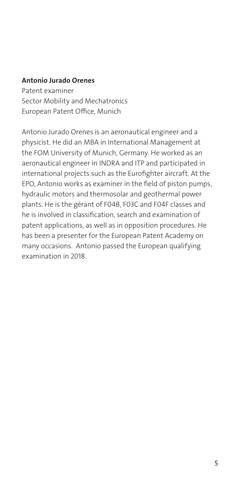#### Antonio Jurado Orenes

Patent examiner Sector Mobility and Mechatronics European Patent Office, Munich

Antonio Jurado Orenes is an aeronautical engineer and a physicist. He did an MBA in International Management at the FOM University of Munich, Germany. He worked as an aeronautical engineer in INDRA and ITP and participated in international projects such as the Eurofighter aircraft. At the EPO, Antonio works as examiner in the field of piston pumps, hydraulic motors and thermosolar and geothermal power plants. He is the gérant of F04B, F03C and F04F classes and he is involved in classification, search and examination of patent applications, as well as in opposition procedures. He has been a presenter for the European Patent Academy on many occasions. Antonio passed the European qualifying examination in 2018.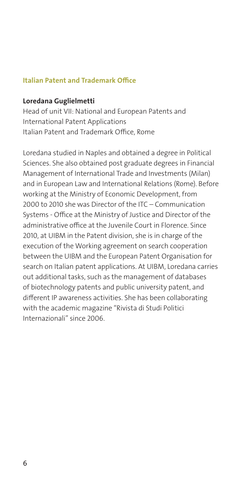#### Italian Patent and Trademark Office

#### Loredana Guglielmetti

Head of unit VII: National and European Patents and International Patent Applications Italian Patent and Trademark Office, Rome

Loredana studied in Naples and obtained a degree in Political Sciences. She also obtained post graduate degrees in Financial Management of International Trade and Investments (Milan) and in European Law and International Relations (Rome). Before working at the Ministry of Economic Development, from 2000 to 2010 she was Director of the ITC – Communication Systems - Office at the Ministry of Justice and Director of the administrative office at the Juvenile Court in Florence. Since 2010, at UIBM in the Patent division, she is in charge of the execution of the Working agreement on search cooperation between the UIBM and the European Patent Organisation for search on Italian patent applications. At UIBM, Loredana carries out additional tasks, such as the management of databases of biotechnology patents and public university patent, and different IP awareness activities. She has been collaborating with the academic magazine "Rivista di Studi Politici Internazionali" since 2006.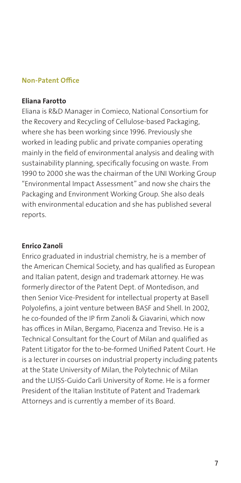#### Non-Patent Office

#### Eliana Farotto

Eliana is R&D Manager in Comieco, National Consortium for the Recovery and Recycling of Cellulose-based Packaging, where she has been working since 1996. Previously she worked in leading public and private companies operating mainly in the field of environmental analysis and dealing with sustainability planning, specifically focusing on waste. From 1990 to 2000 she was the chairman of the UNI Working Group "Environmental Impact Assessment" and now she chairs the Packaging and Environment Working Group. She also deals with environmental education and she has published several reports.

#### Enrico Zanoli

Enrico graduated in industrial chemistry, he is a member of the American Chemical Society, and has qualified as European and Italian patent, design and trademark attorney. He was formerly director of the Patent Dept. of Montedison, and then Senior Vice-President for intellectual property at Basell Polyolefins, a joint venture between BASF and Shell. In 2002, he co-founded of the IP firm Zanoli & Giavarini, which now has offices in Milan, Bergamo, Piacenza and Treviso. He is a Technical Consultant for the Court of Milan and qualified as Patent Litigator for the to-be-formed Unified Patent Court. He is a lecturer in courses on industrial property including patents at the State University of Milan, the Polytechnic of Milan and the LUISS-Guido Carli University of Rome. He is a former President of the Italian Institute of Patent and Trademark Attorneys and is currently a member of its Board.